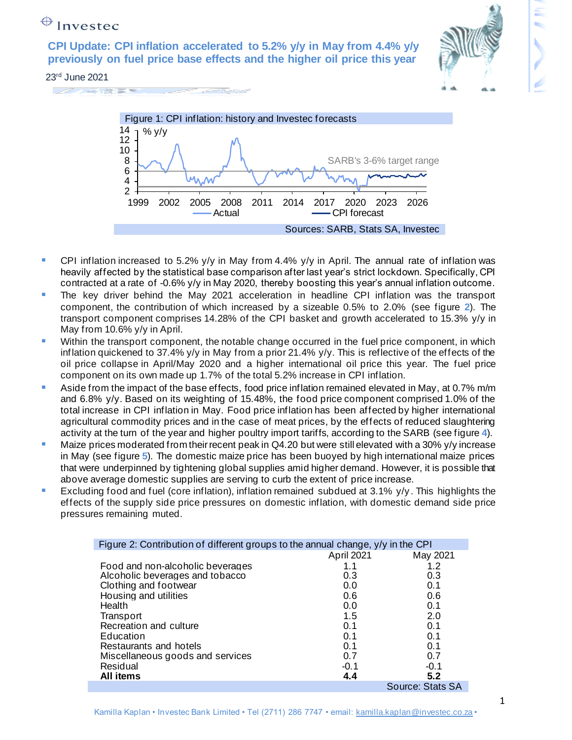**CPI Update: CPI inflation accelerated to 5.2% y/y in May from 4.4% y/y previously on fuel price base effects and the higher oil price this year**



23rd June 2021





- **•** CPI inflation increased to 5.2% y/y in May from 4.4% y/y in April. The annual rate of inflation was heavily affected by the statistical base comparison after last year's strict lockdown. Specifically, CPI contracted at a rate of -0.6% y/y in May 2020, thereby boosting this year's annual inflation outcome.
- **The key driver behind the May 2021 acceleration in headline CPI inflation was the transport** component, the contribution of which increased by a sizeable 0.5% to 2.0% (see figure **2**). The transport component comprises 14.28% of the CPI basket and growth accelerated to 15.3% y/y in May from 10.6% y/y in April.
- **■** Within the transport component, the notable change occurred in the fuel price component, in which inflation quickened to 37.4% y/y in May from a prior 21.4% y/y. This is reflective of the effects of the oil price collapse in April/May 2020 and a higher international oil price this year. The fuel price component on its own made up 1.7% of the total 5.2% increase in CPI inflation.
- **E** Aside from the impact of the base effects, food price inflation remained elevated in May, at 0.7% m/m and 6.8% y/y. Based on its weighting of 15.48%, the food price component comprised 1.0% of the total increase in CPI inflation in May. Food price inflation has been affected by higher international agricultural commodity prices and in the case of meat prices, by the effects of reduced slaughtering activity at the turn of the year and higher poultry import tariffs, according to the SARB (see figure **4**).
- **■** Maize prices moderated from their recent peak in Q4.20 but were still elevated with a 30%  $y/y$  increase in May (see figure **5**). The domestic maize price has been buoyed by high international maize prices that were underpinned by tightening global supplies amid higher demand. However, it is possible that above average domestic supplies are serving to curb the extent of price increase.
- **Excluding food and fuel (core inflation), inflation remained subdued at 3.1%**  $y/y$ **. This highlights the** effects of the supply side price pressures on domestic inflation, with domestic demand side price pressures remaining muted.

| Figure 2: Contribution of different groups to the annual change, y/y in the CPI |            |                  |
|---------------------------------------------------------------------------------|------------|------------------|
|                                                                                 | April 2021 | May 2021         |
| Food and non-alcoholic beverages                                                | 1.1        | 1.2              |
| Alcoholic beverages and tobacco                                                 | 0.3        | 0.3              |
| Clothing and footwear                                                           | 0.0        | 0.1              |
| Housing and utilities                                                           | 0.6        | 0.6              |
| Health                                                                          | 0.0        | 0.1              |
| Transport                                                                       | 1.5        | 2.0              |
| Recreation and culture                                                          | 0.1        | 0.1              |
| Education                                                                       | 0.1        | 0.1              |
| Restaurants and hotels                                                          | 0.1        | 0.1              |
| Miscellaneous goods and services                                                | 0.7        | 0.7              |
| Residual                                                                        | $-0.1$     | $-0.1$           |
| All items                                                                       | 4.4        | 5.2              |
|                                                                                 |            | Source: Stats SA |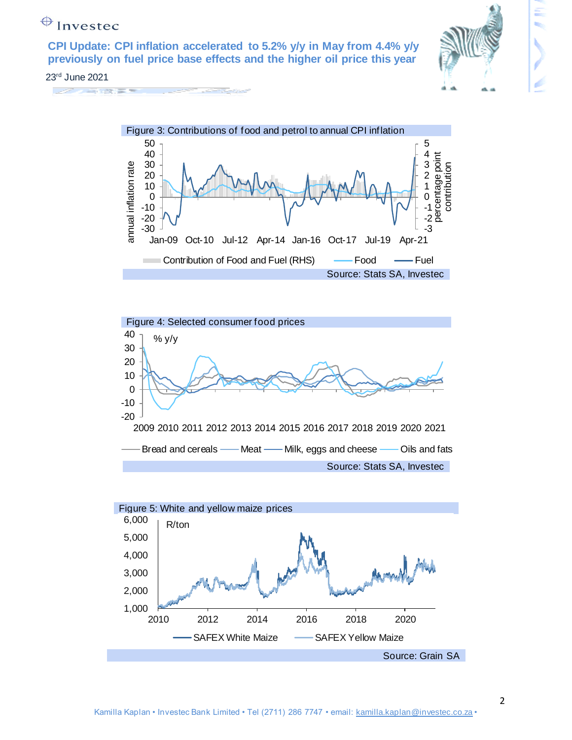**CPI Update: CPI inflation accelerated to 5.2% y/y in May from 4.4% y/y previously on fuel price base effects and the higher oil price this year**



#### 23rd June 2021







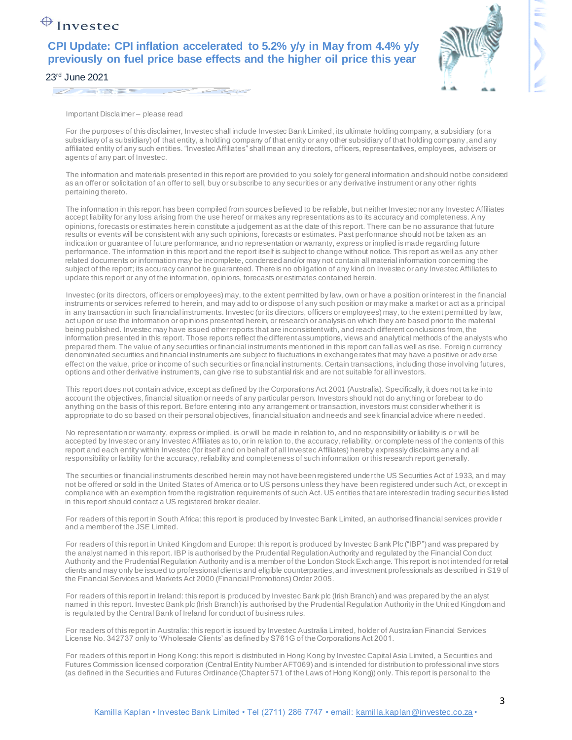#### **CPI Update: CPI inflation accelerated to 5.2% y/y in May from 4.4% y/y previously on fuel price base effects and the higher oil price this year**



Important Disclaimer – please read

For the purposes of this disclaimer, Investec shall include Investec Bank Limited, its ultimate holding company, a subsidiary (or a subsidiary of a subsidiary) of that entity, a holding company of that entity or any other subsidiary of that holding company , and any affiliated entity of any such entities. "Investec Affiliates" shall mean any directors, officers, representatives, employees, advisers or agents of any part of Investec.

The information and materials presented in this report are provided to you solely for general information and should not be considered as an offer or solicitation of an offer to sell, buy or subscribe to any securities or any derivative instrument or any other rights pertaining thereto.

The information in this report has been compiled from sources believed to be reliable, but neither Investec nor any Investec Affiliates accept liability for any loss arising from the use hereof or makes any representations as to its accuracy and completeness. Any opinions, forecasts or estimates herein constitute a judgement as at the date of this report. There can be no assurance that future results or events will be consistent with any such opinions, forecasts or estimates. Past performance should not be taken as an indication or guarantee of future performance, and no representation or warranty, express or implied is made regarding future performance. The information in this report and the report itself is subject to change without notice. This report as well as any other related documents or information may be incomplete, condensed and/or may not contain all material information concerning the subject of the report; its accuracy cannot be guaranteed. There is no obligation of any kind on Investec or any Investec Affi liates to update this report or any of the information, opinions, forecasts or estimates contained herein.

Investec (or its directors, officers or employees) may, to the extent permitted by law, own or have a position or interest in the financial instruments or services referred to herein, and may add to or dispose of any such position or may make a market or act as a principal in any transaction in such financial instruments. Investec (or its directors, officers or employees) may, to the extent permitted by law, act upon or use the information or opinions presented herein, or research or analysis on which they are based prior to the material being published. Investec may have issued other reports that are inconsistent with, and reach different conclusions from, the information presented in this report. Those reports reflect the different assumptions, views and analytical methods of the analysts who prepared them. The value of any securities or financial instruments mentioned in this report can fall as well as rise. Foreig n currency denominated securities and financial instruments are subject to fluctuations in exchange rates that may have a positive or adverse effect on the value, price or income of such securities or financial instruments. Certain transactions, including those involving futures, options and other derivative instruments, can give rise to substantial risk and are not suitable for all investors.

This report does not contain advice, except as defined by the Corporations Act 2001 (Australia). Specifically, it does not ta ke into account the objectives, financial situation or needs of any particular person. Investors should not do anything or forebear to do anything on the basis of this report. Before entering into any arrangement or transaction, investors must consider whether it is appropriate to do so based on their personal objectives, financial situation and needs and seek financial advice where n eeded.

No representation or warranty, express or implied, is or will be made in relation to, and no responsibility or liability is o r will be accepted by Investec or any Investec Affiliates as to, or in relation to, the accuracy, reliability, or complete ness of the contents of this report and each entity within Investec (for itself and on behalf of all Investec Affiliates) hereby expressly disclaims any a nd all responsibility or liability for the accuracy, reliability and completeness of such information or this research report generally.

The securities or financial instruments described herein may not have been registered under the US Securities Act of 1933, an d may not be offered or sold in the United States of America or to US persons unless they have been registered under such Act, or except in compliance with an exemption from the registration requirements of such Act. US entities that are interested in trading securities listed in this report should contact a US registered broker dealer.

For readers of this report in South Africa: this report is produced by Investec Bank Limited, an authorised financial services provide r and a member of the JSE Limited.

For readers of this report in United Kingdom and Europe: this report is produced by Investec Bank Plc ("IBP") and was prepared by the analyst named in this report. IBP is authorised by the Prudential Regulation Authority and regulated by the Financial Con duct Authority and the Prudential Regulation Authority and is a member of the London Stock Exch ange. This report is not intended for retail clients and may only be issued to professional clients and eligible counterparties, and investment professionals as described in S19 of the Financial Services and Markets Act 2000 (Financial Promotions) Order 2005.

For readers of this report in Ireland: this report is produced by Investec Bank plc (Irish Branch) and was prepared by the an alyst named in this report. Investec Bank plc (Irish Branch) is authorised by the Prudential Regulation Authority in the Unit ed Kingdom and is regulated by the Central Bank of Ireland for conduct of business rules.

For readers of this report in Australia: this report is issued by Investec Australia Limited, holder of Australian Financial Services License No. 342737 only to 'Wholesale Clients' as defined by S761G of the Corporations Act 2001.

For readers of this report in Hong Kong: this report is distributed in Hong Kong by Investec Capital Asia Limited, a Securities and Futures Commission licensed corporation (Central Entity Number AFT069) and is intended for distribution to professional inve stors (as defined in the Securities and Futures Ordinance (Chapter 571 of the Laws of Hong Kong)) only. This report is personal to the